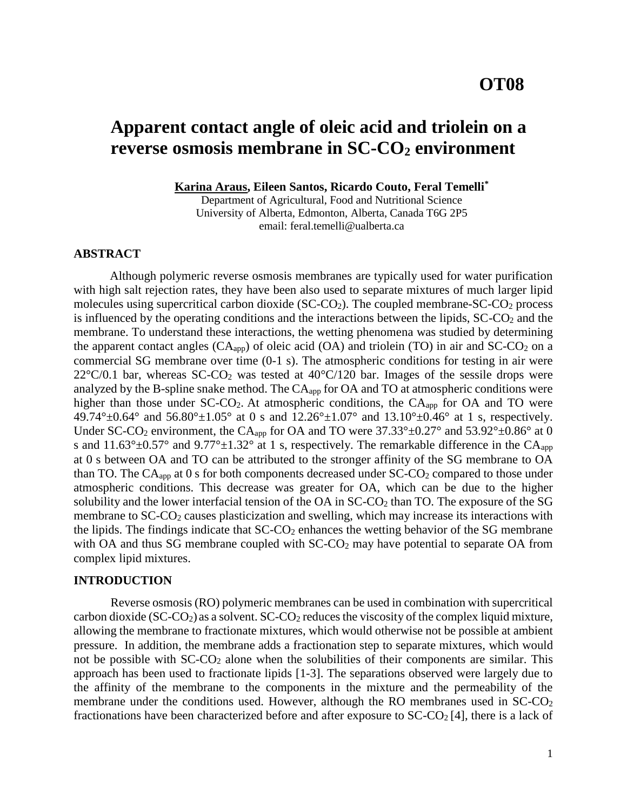# **Apparent contact angle of oleic acid and triolein on a reverse osmosis membrane in SC-CO<sup>2</sup> environment**

**Karina Araus, Eileen Santos, Ricardo Couto, Feral Temelli\***

Department of Agricultural, Food and Nutritional Science University of Alberta, Edmonton, Alberta, Canada T6G 2P5 email: feral.temelli@ualberta.ca

# **ABSTRACT**

Although polymeric reverse osmosis membranes are typically used for water purification with high salt rejection rates, they have been also used to separate mixtures of much larger lipid molecules using supercritical carbon dioxide  $(SC-CO_2)$ . The coupled membrane- $SC-CO_2$  process is influenced by the operating conditions and the interactions between the lipids,  $SC-CO<sub>2</sub>$  and the membrane. To understand these interactions, the wetting phenomena was studied by determining the apparent contact angles  $(CA_{app})$  of oleic acid  $(OA)$  and triolein (TO) in air and  $SC-CO<sub>2</sub>$  on a commercial SG membrane over time (0-1 s). The atmospheric conditions for testing in air were  $22^{\circ}$ C/0.1 bar, whereas SC-CO<sub>2</sub> was tested at  $40^{\circ}$ C/120 bar. Images of the sessile drops were analyzed by the B-spline snake method. The CAapp for OA and TO at atmospheric conditions were higher than those under SC-CO<sub>2</sub>. At atmospheric conditions, the CA<sub>app</sub> for OA and TO were 49.74° $\pm$ 0.64° and 56.80° $\pm$ 1.05° at 0 s and 12.26° $\pm$ 1.07° and 13.10° $\pm$ 0.46° at 1 s, respectively. Under SC-CO<sub>2</sub> environment, the CA<sub>app</sub> for OA and TO were  $37.33^{\circ} \pm 0.27^{\circ}$  and  $53.92^{\circ} \pm 0.86^{\circ}$  at 0 s and 11.63° $\pm$ 0.57° and 9.77° $\pm$ 1.32° at 1 s, respectively. The remarkable difference in the CA<sub>app</sub> at 0 s between OA and TO can be attributed to the stronger affinity of the SG membrane to OA than TO. The  $CA<sub>app</sub>$  at 0 s for both components decreased under  $SC-CO<sub>2</sub>$  compared to those under atmospheric conditions. This decrease was greater for OA, which can be due to the higher solubility and the lower interfacial tension of the OA in  $SC$ - $CO<sub>2</sub>$  than TO. The exposure of the SG membrane to SC-CO<sub>2</sub> causes plasticization and swelling, which may increase its interactions with the lipids. The findings indicate that  $SC\text{-}CO<sub>2</sub>$  enhances the wetting behavior of the SG membrane with OA and thus SG membrane coupled with  $SC\text{-}CO<sub>2</sub>$  may have potential to separate OA from complex lipid mixtures.

# **INTRODUCTION**

Reverse osmosis (RO) polymeric membranes can be used in combination with supercritical carbon dioxide (SC-CO<sub>2</sub>) as a solvent. SC-CO<sub>2</sub> reduces the viscosity of the complex liquid mixture, allowing the membrane to fractionate mixtures, which would otherwise not be possible at ambient pressure. In addition, the membrane adds a fractionation step to separate mixtures, which would not be possible with  $SC-CO<sub>2</sub>$  alone when the solubilities of their components are similar. This approach has been used to fractionate lipids [1-3]. The separations observed were largely due to the affinity of the membrane to the components in the mixture and the permeability of the membrane under the conditions used. However, although the RO membranes used in SC-CO<sub>2</sub> fractionations have been characterized before and after exposure to  $SC\text{-}CO<sub>2</sub>$  [4], there is a lack of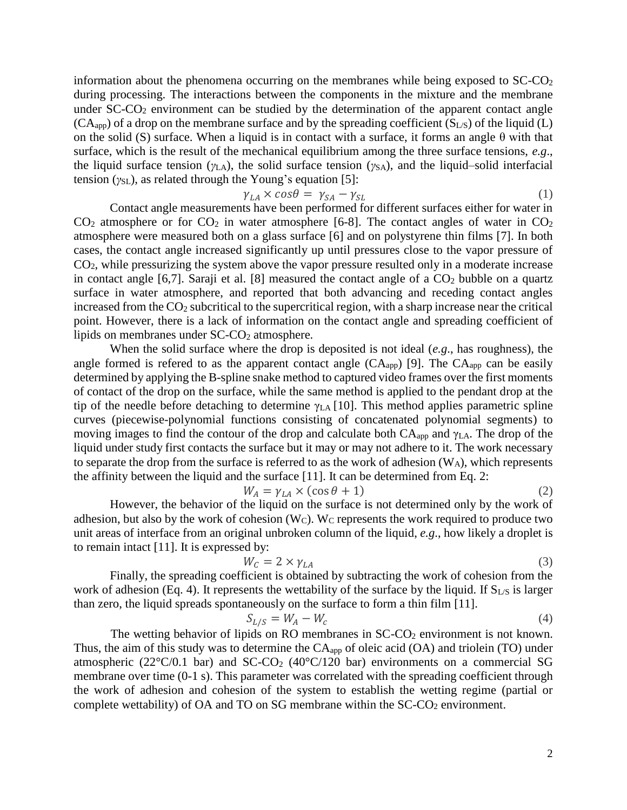information about the phenomena occurring on the membranes while being exposed to  $SC-CO<sub>2</sub>$ during processing. The interactions between the components in the mixture and the membrane under  $SC-CO<sub>2</sub>$  environment can be studied by the determination of the apparent contact angle  $(CA<sub>apo</sub>)$  of a drop on the membrane surface and by the spreading coefficient  $(S<sub>LS</sub>)$  of the liquid (L) on the solid (S) surface. When a liquid is in contact with a surface, it forms an angle  $\theta$  with that surface, which is the result of the mechanical equilibrium among the three surface tensions, *e.g*., the liquid surface tension ( $\gamma$ <sub>LA</sub>), the solid surface tension ( $\gamma$ <sub>SA</sub>), and the liquid–solid interfacial tension (*γ*<sub>SL</sub>), as related through the Young's equation [5]:

$$
\gamma_{LA} \times \cos \theta = \gamma_{SA} - \gamma_{SL} \tag{1}
$$

Contact angle measurements have been performed for different surfaces either for water in  $CO<sub>2</sub>$  atmosphere or for  $CO<sub>2</sub>$  in water atmosphere [6-8]. The contact angles of water in  $CO<sub>2</sub>$ atmosphere were measured both on a glass surface [6] and on polystyrene thin films [7]. In both cases, the contact angle increased significantly up until pressures close to the vapor pressure of  $CO<sub>2</sub>$ , while pressurizing the system above the vapor pressure resulted only in a moderate increase in contact angle  $[6,7]$ . Saraji et al.  $[8]$  measured the contact angle of a  $CO<sub>2</sub>$  bubble on a quartz surface in water atmosphere, and reported that both advancing and receding contact angles increased from the  $CO<sub>2</sub>$  subcritical to the supercritical region, with a sharp increase near the critical point. However, there is a lack of information on the contact angle and spreading coefficient of lipids on membranes under  $SC$ - $CO<sub>2</sub>$  atmosphere.

When the solid surface where the drop is deposited is not ideal (*e.g*., has roughness), the angle formed is refered to as the apparent contact angle  $(CA_{app})$  [9]. The  $CA_{app}$  can be easily determined by applying the B-spline snake method to captured video frames over the first moments of contact of the drop on the surface, while the same method is applied to the pendant drop at the tip of the needle before detaching to determine  $\gamma_{LA}$  [10]. This method applies parametric spline curves (piecewise-polynomial functions consisting of concatenated polynomial segments) to moving images to find the contour of the drop and calculate both CAapp and γLA. The drop of the liquid under study first contacts the surface but it may or may not adhere to it. The work necessary to separate the drop from the surface is referred to as the work of adhesion  $(W_A)$ , which represents the affinity between the liquid and the surface [11]. It can be determined from Eq. 2:

$$
W_A = \gamma_{LA} \times (\cos \theta + 1) \tag{2}
$$

However, the behavior of the liquid on the surface is not determined only by the work of adhesion, but also by the work of cohesion  $(W<sub>C</sub>)$ . W<sub>C</sub> represents the work required to produce two unit areas of interface from an original unbroken column of the liquid, *e.g*., how likely a droplet is to remain intact [11]. It is expressed by:

$$
W_C = 2 \times \gamma_{LA} \tag{3}
$$

Finally, the spreading coefficient is obtained by subtracting the work of cohesion from the work of adhesion (Eq. 4). It represents the wettability of the surface by the liquid. If  $S_{LS}$  is larger than zero, the liquid spreads spontaneously on the surface to form a thin film [11].

$$
S_{L/S} = W_A - W_C \tag{4}
$$

The wetting behavior of lipids on RO membranes in  $SC\text{-}CO<sub>2</sub>$  environment is not known. Thus, the aim of this study was to determine the CAapp of oleic acid (OA) and triolein (TO) under atmospheric (22 $\degree$ C/0.1 bar) and SC-CO<sub>2</sub> (40 $\degree$ C/120 bar) environments on a commercial SG membrane over time (0-1 s). This parameter was correlated with the spreading coefficient through the work of adhesion and cohesion of the system to establish the wetting regime (partial or complete wettability) of OA and TO on SG membrane within the  $SC\text{-}CO<sub>2</sub>$  environment.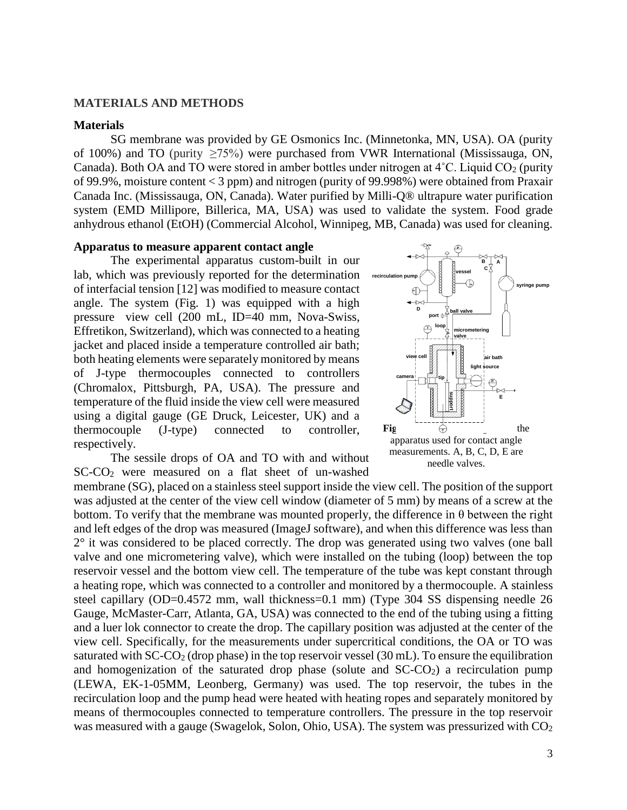#### **MATERIALS AND METHODS**

#### **Materials**

SG membrane was provided by GE Osmonics Inc. (Minnetonka, MN, USA). OA (purity of 100%) and TO (purity ≥75%) were purchased from VWR International (Mississauga, ON, Canada). Both OA and TO were stored in amber bottles under nitrogen at  $4^{\circ}$ C. Liquid CO<sub>2</sub> (purity of 99.9%, moisture content < 3 ppm) and nitrogen (purity of 99.998%) were obtained from Praxair Canada Inc. (Mississauga, ON, Canada). Water purified by Milli-Q® ultrapure water purification system (EMD Millipore, Billerica, MA, USA) was used to validate the system. Food grade anhydrous ethanol (EtOH) (Commercial Alcohol, Winnipeg, MB, Canada) was used for cleaning.

## **Apparatus to measure apparent contact angle**

The experimental apparatus custom-built in our lab, which was previously reported for the determination of interfacial tension [12] was modified to measure contact angle. The system (Fig. 1) was equipped with a high pressure view cell (200 mL, ID=40 mm, Nova-Swiss, Effretikon, Switzerland), which was connected to a heating jacket and placed inside a temperature controlled air bath; both heating elements were separately monitored by means of J-type thermocouples connected to controllers (Chromalox, Pittsburgh, PA, USA). The pressure and temperature of the fluid inside the view cell were measured using a digital gauge (GE Druck, Leicester, UK) and a thermocouple (J-type) connected to controller, respectively.



The sessile drops of OA and TO with and without SC-CO<sup>2</sup> were measured on a flat sheet of un-washed

membrane (SG), placed on a stainless steel support inside the view cell. The position of the support was adjusted at the center of the view cell window (diameter of 5 mm) by means of a screw at the bottom. To verify that the membrane was mounted properly, the difference in  $\theta$  between the right and left edges of the drop was measured (ImageJ software), and when this difference was less than  $2^{\circ}$  it was considered to be placed correctly. The drop was generated using two valves (one ball valve and one micrometering valve), which were installed on the tubing (loop) between the top reservoir vessel and the bottom view cell. The temperature of the tube was kept constant through a heating rope, which was connected to a controller and monitored by a thermocouple. A stainless steel capillary (OD=0.4572 mm, wall thickness=0.1 mm) (Type 304 SS dispensing needle 26 Gauge, McMaster-Carr, Atlanta, GA, USA) was connected to the end of the tubing using a fitting and a luer lok connector to create the drop. The capillary position was adjusted at the center of the view cell. Specifically, for the measurements under supercritical conditions, the OA or TO was saturated with  $SC-CO<sub>2</sub>$  (drop phase) in the top reservoir vessel (30 mL). To ensure the equilibration and homogenization of the saturated drop phase (solute and  $SC\text{-}CO<sub>2</sub>$ ) a recirculation pump (LEWA, EK-1-05MM, Leonberg, Germany) was used. The top reservoir, the tubes in the recirculation loop and the pump head were heated with heating ropes and separately monitored by means of thermocouples connected to temperature controllers. The pressure in the top reservoir was measured with a gauge (Swagelok, Solon, Ohio, USA). The system was pressurized with  $CO<sub>2</sub>$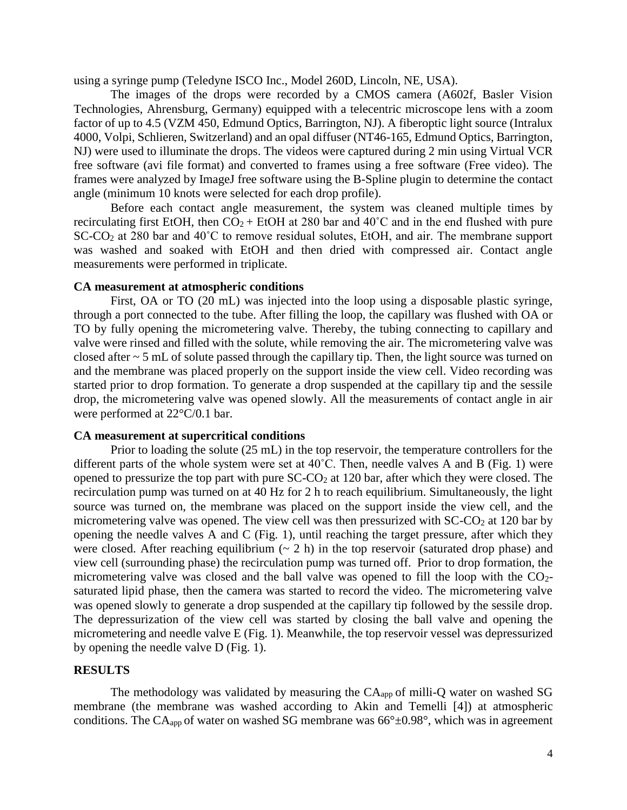using a syringe pump (Teledyne ISCO Inc., Model 260D, Lincoln, NE, USA).

The images of the drops were recorded by a CMOS camera (A602f, Basler Vision Technologies, Ahrensburg, Germany) equipped with a telecentric microscope lens with a zoom factor of up to 4.5 (VZM 450, Edmund Optics, Barrington, NJ). A fiberoptic light source (Intralux 4000, Volpi, Schlieren, Switzerland) and an opal diffuser (NT46-165, Edmund Optics, Barrington, NJ) were used to illuminate the drops. The videos were captured during 2 min using Virtual VCR free software (avi file format) and converted to frames using a free software (Free video). The frames were analyzed by ImageJ free software using the B-Spline plugin to determine the contact angle (minimum 10 knots were selected for each drop profile).

Before each contact angle measurement, the system was cleaned multiple times by recirculating first EtOH, then  $CO_2$  + EtOH at 280 bar and 40<sup>°</sup>C and in the end flushed with pure SC-CO<sup>2</sup> at 280 bar and 40˚C to remove residual solutes, EtOH, and air. The membrane support was washed and soaked with EtOH and then dried with compressed air. Contact angle measurements were performed in triplicate.

#### **CA measurement at atmospheric conditions**

First, OA or TO (20 mL) was injected into the loop using a disposable plastic syringe, through a port connected to the tube. After filling the loop, the capillary was flushed with OA or TO by fully opening the micrometering valve. Thereby, the tubing connecting to capillary and valve were rinsed and filled with the solute, while removing the air. The micrometering valve was closed after ~ 5 mL of solute passed through the capillary tip. Then, the light source was turned on and the membrane was placed properly on the support inside the view cell. Video recording was started prior to drop formation. To generate a drop suspended at the capillary tip and the sessile drop, the micrometering valve was opened slowly. All the measurements of contact angle in air were performed at 22°C/0.1 bar.

#### **CA measurement at supercritical conditions**

Prior to loading the solute (25 mL) in the top reservoir, the temperature controllers for the different parts of the whole system were set at 40˚C. Then, needle valves A and B (Fig. 1) were opened to pressurize the top part with pure  $SC\text{-}CO<sub>2</sub>$  at 120 bar, after which they were closed. The recirculation pump was turned on at 40 Hz for 2 h to reach equilibrium. Simultaneously, the light source was turned on, the membrane was placed on the support inside the view cell, and the micrometering valve was opened. The view cell was then pressurized with  $SC-CO<sub>2</sub>$  at 120 bar by opening the needle valves A and C (Fig. 1), until reaching the target pressure, after which they were closed. After reaching equilibrium  $(2 h)$  in the top reservoir (saturated drop phase) and view cell (surrounding phase) the recirculation pump was turned off. Prior to drop formation, the micrometering valve was closed and the ball valve was opened to fill the loop with the CO2 saturated lipid phase, then the camera was started to record the video. The micrometering valve was opened slowly to generate a drop suspended at the capillary tip followed by the sessile drop. The depressurization of the view cell was started by closing the ball valve and opening the micrometering and needle valve E (Fig. 1). Meanwhile, the top reservoir vessel was depressurized by opening the needle valve D (Fig. 1).

#### **RESULTS**

The methodology was validated by measuring the  $CA<sub>app</sub>$  of milli-Q water on washed SG membrane (the membrane was washed according to Akin and Temelli [4]) at atmospheric conditions. The CA<sub>app</sub> of water on washed SG membrane was  $66^{\circ} \pm 0.98^{\circ}$ , which was in agreement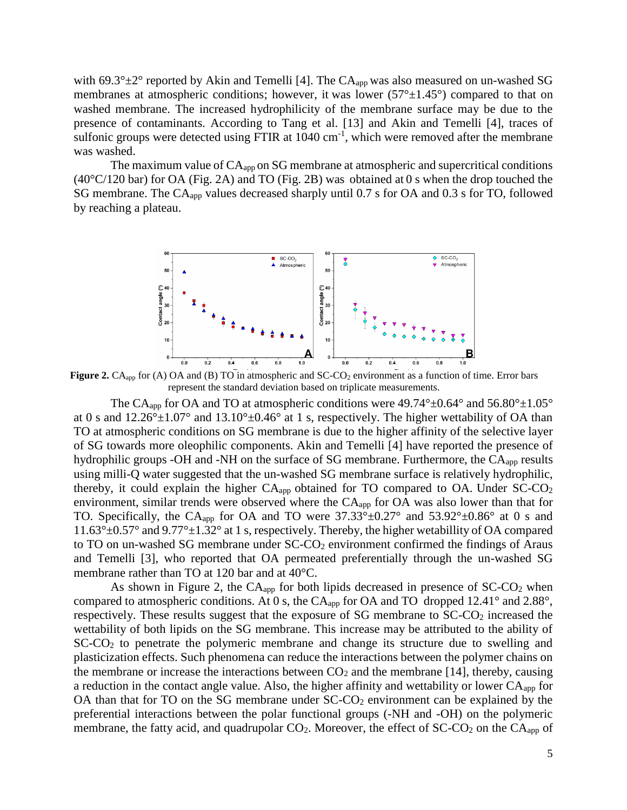with 69.3° $\pm$ 2° reported by Akin and Temelli [4]. The CA<sub>app</sub> was also measured on un-washed SG membranes at atmospheric conditions; however, it was lower  $(57^\circ \pm 1.45^\circ)$  compared to that on washed membrane. The increased hydrophilicity of the membrane surface may be due to the presence of contaminants. According to Tang et al. [13] and Akin and Temelli [4], traces of sulfonic groups were detected using FTIR at  $1040 \text{ cm}^{-1}$ , which were removed after the membrane was washed.

The maximum value of  $CA<sub>app</sub>$  on SG membrane at atmospheric and supercritical conditions (40°C/120 bar) for OA (Fig. 2A) and TO (Fig. 2B) was obtained at 0 s when the drop touched the SG membrane. The CA<sub>app</sub> values decreased sharply until 0.7 s for OA and 0.3 s for TO, followed by reaching a plateau.



**Figure 2.** CA<sub>app</sub> for (A) OA and (B) TO in atmospheric and SC-CO<sub>2</sub> environment as a function of time. Error bars represent the standard deviation based on triplicate measurements.

The CA<sub>app</sub> for OA and TO at atmospheric conditions were  $49.74^{\circ} \pm 0.64^{\circ}$  and  $56.80^{\circ} \pm 1.05^{\circ}$ at 0 s and  $12.26^{\circ} \pm 1.07^{\circ}$  and  $13.10^{\circ} \pm 0.46^{\circ}$  at 1 s, respectively. The higher wettability of OA than TO at atmospheric conditions on SG membrane is due to the higher affinity of the selective layer of SG towards more oleophilic components. Akin and Temelli [4] have reported the presence of hydrophilic groups -OH and -NH on the surface of SG membrane. Furthermore, the  $CA<sub>app</sub>$  results using milli-Q water suggested that the un-washed SG membrane surface is relatively hydrophilic, thereby, it could explain the higher  $CA_{app}$  obtained for TO compared to OA. Under  $SC-CO<sub>2</sub>$ environment, similar trends were observed where the  $CA<sub>app</sub>$  for OA was also lower than that for TO. Specifically, the CA<sub>app</sub> for OA and TO were  $37.33^{\circ} \pm 0.27^{\circ}$  and  $53.92^{\circ} \pm 0.86^{\circ}$  at 0 s and  $11.63^{\circ}$ ±0.57° and  $9.77^{\circ}$ ±1.32° at 1 s, respectively. Thereby, the higher wetabillity of OA compared to TO on un-washed SG membrane under  $SC-CO<sub>2</sub>$  environment confirmed the findings of Araus and Temelli [3], who reported that OA permeated preferentially through the un-washed SG membrane rather than TO at 120 bar and at 40°C.

As shown in Figure 2, the CA<sub>app</sub> for both lipids decreased in presence of SC-CO<sub>2</sub> when compared to atmospheric conditions. At 0 s, the CA<sub>app</sub> for OA and TO dropped 12.41° and 2.88°, respectively. These results suggest that the exposure of SG membrane to SC-CO<sub>2</sub> increased the wettability of both lipids on the SG membrane. This increase may be attributed to the ability of SC-CO<sup>2</sup> to penetrate the polymeric membrane and change its structure due to swelling and plasticization effects. Such phenomena can reduce the interactions between the polymer chains on the membrane or increase the interactions between  $CO<sub>2</sub>$  and the membrane [14], thereby, causing a reduction in the contact angle value. Also, the higher affinity and wettability or lower CAapp for OA than that for TO on the SG membrane under  $SC-CO<sub>2</sub>$  environment can be explained by the preferential interactions between the polar functional groups (-NH and -OH) on the polymeric membrane, the fatty acid, and quadrupolar CO<sub>2</sub>. Moreover, the effect of SC-CO<sub>2</sub> on the CA<sub>app</sub> of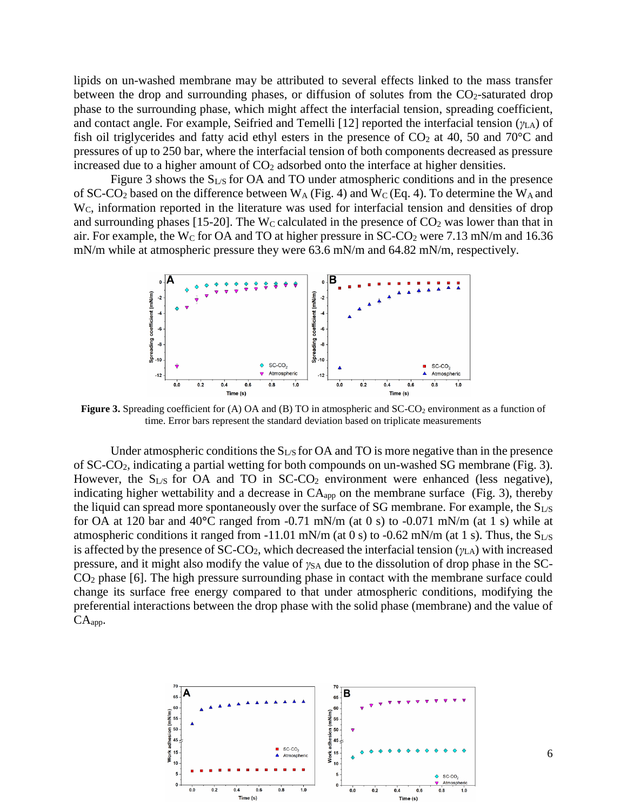lipids on un-washed membrane may be attributed to several effects linked to the mass transfer between the drop and surrounding phases, or diffusion of solutes from the  $CO<sub>2</sub>$ -saturated drop phase to the surrounding phase, which might affect the interfacial tension, spreading coefficient, and contact angle. For example, Seifried and Temelli [12] reported the interfacial tension (*γ*LA) of fish oil triglycerides and fatty acid ethyl esters in the presence of  $CO<sub>2</sub>$  at 40, 50 and 70 $^{\circ}$ C and pressures of up to 250 bar, where the interfacial tension of both components decreased as pressure increased due to a higher amount of  $CO<sub>2</sub>$  adsorbed onto the interface at higher densities.

Figure 3 shows the  $S_{LS}$  for OA and TO under atmospheric conditions and in the presence of SC-CO<sub>2</sub> based on the difference between  $W_A$  (Fig. 4) and  $W_C$  (Eq. 4). To determine the  $W_A$  and W<sub>C</sub>, information reported in the literature was used for interfacial tension and densities of drop and surrounding phases [15-20]. The W<sub>C</sub> calculated in the presence of  $CO<sub>2</sub>$  was lower than that in air. For example, the W<sub>C</sub> for OA and TO at higher pressure in  $SC\text{-}CO<sub>2</sub>$  were 7.13 mN/m and 16.36 mN/m while at atmospheric pressure they were 63.6 mN/m and 64.82 mN/m, respectively.



**Figure 3.** Spreading coefficient for (A) OA and (B) TO in atmospheric and SC-CO<sub>2</sub> environment as a function of time. Error bars represent the standard deviation based on triplicate measurements

Under atmospheric conditions the  $S_{LS}$  for OA and TO is more negative than in the presence of SC-CO2, indicating a partial wetting for both compounds on un-washed SG membrane (Fig. 3). However, the  $S_{LS}$  for OA and TO in SC-CO<sub>2</sub> environment were enhanced (less negative), indicating higher wettability and a decrease in  $CA<sub>app</sub>$  on the membrane surface (Fig. 3), thereby the liquid can spread more spontaneously over the surface of SG membrane. For example, the  $S_{LS}$ for OA at 120 bar and 40**°**C ranged from -0.71 mN/m (at 0 s) to -0.071 mN/m (at 1 s) while at atmospheric conditions it ranged from -11.01 mN/m (at 0 s) to -0.62 mN/m (at 1 s). Thus, the  $S_{LS}$ is affected by the presence of SC-CO2, which decreased the interfacial tension (*γ*LA) with increased pressure, and it might also modify the value of *γ*<sub>SA</sub> due to the dissolution of drop phase in the SC- $CO<sub>2</sub>$  phase [6]. The high pressure surrounding phase in contact with the membrane surface could change its surface free energy compared to that under atmospheric conditions, modifying the preferential interactions between the drop phase with the solid phase (membrane) and the value of  $CA<sub>app</sub>$ .

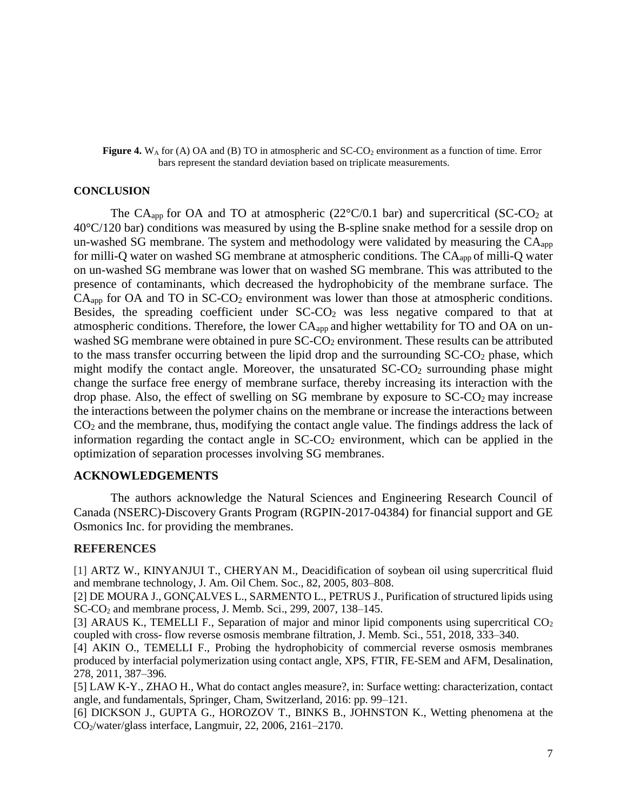#### **Figure 4.**  $W_A$  for (A) OA and (B) TO in atmospheric and  $SC-CO_2$  environment as a function of time. Error bars represent the standard deviation based on triplicate measurements.

## **CONCLUSION**

The CA<sub>app</sub> for OA and TO at atmospheric  $(22^{\circ}C/0.1$  bar) and supercritical (SC-CO<sub>2</sub> at 40°C/120 bar) conditions was measured by using the B-spline snake method for a sessile drop on un-washed SG membrane. The system and methodology were validated by measuring the  $CA<sub>app</sub>$ for milli-Q water on washed SG membrane at atmospheric conditions. The CAapp of milli-Q water on un-washed SG membrane was lower that on washed SG membrane. This was attributed to the presence of contaminants, which decreased the hydrophobicity of the membrane surface. The  $CA<sub>app</sub>$  for OA and TO in SC-CO<sub>2</sub> environment was lower than those at atmospheric conditions. Besides, the spreading coefficient under SC-CO<sup>2</sup> was less negative compared to that at atmospheric conditions. Therefore, the lower CAapp and higher wettability for TO and OA on unwashed SG membrane were obtained in pure SC-CO<sub>2</sub> environment. These results can be attributed to the mass transfer occurring between the lipid drop and the surrounding  $SC\text{-}CO<sub>2</sub>$  phase, which might modify the contact angle. Moreover, the unsaturated  $SC\text{-}CO<sub>2</sub>$  surrounding phase might change the surface free energy of membrane surface, thereby increasing its interaction with the drop phase. Also, the effect of swelling on SG membrane by exposure to  $SC-CO<sub>2</sub>$  may increase the interactions between the polymer chains on the membrane or increase the interactions between CO<sup>2</sup> and the membrane, thus, modifying the contact angle value. The findings address the lack of information regarding the contact angle in  $SC\text{-}CO<sub>2</sub>$  environment, which can be applied in the optimization of separation processes involving SG membranes.

# **ACKNOWLEDGEMENTS**

The authors acknowledge the Natural Sciences and Engineering Research Council of Canada (NSERC)-Discovery Grants Program (RGPIN-2017-04384) for financial support and GE Osmonics Inc. for providing the membranes.

# **REFERENCES**

[1] ARTZ W., KINYANJUI T., CHERYAN M., Deacidification of soybean oil using supercritical fluid and membrane technology, J. Am. Oil Chem. Soc., 82, 2005, 803–808.

[2] DE MOURA J., GONÇALVES L., SARMENTO L., PETRUS J., Purification of structured lipids using SC-CO<sup>2</sup> and membrane process, J. Memb. Sci., 299, 2007, 138–145.

[3] ARAUS K., TEMELLI F., Separation of major and minor lipid components using supercritical CO<sub>2</sub> coupled with cross- flow reverse osmosis membrane filtration, J. Memb. Sci., 551, 2018, 333–340.

[4] AKIN O., TEMELLI F., Probing the hydrophobicity of commercial reverse osmosis membranes produced by interfacial polymerization using contact angle, XPS, FTIR, FE-SEM and AFM, Desalination, 278, 2011, 387–396.

[5] LAW K-Y., ZHAO H., What do contact angles measure?, in: Surface wetting: characterization, contact angle, and fundamentals, Springer, Cham, Switzerland, 2016: pp. 99–121.

[6] DICKSON J., GUPTA G., HOROZOV T., BINKS B., JOHNSTON K., Wetting phenomena at the CO2/water/glass interface, Langmuir, 22, 2006, 2161–2170.